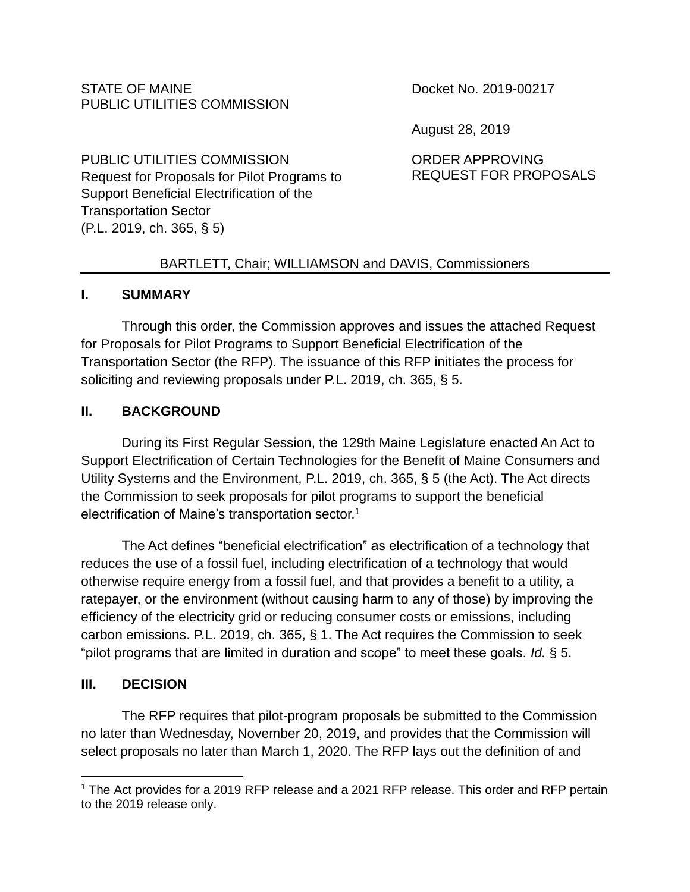#### STATE OF MAINE PUBLIC UTILITIES COMMISSION

Docket No. 2019-00217

August 28, 2019

PUBLIC UTILITIES COMMISSION Request for Proposals for Pilot Programs to Support Beneficial Electrification of the Transportation Sector (P.L. 2019, ch. 365, § 5)

ORDER APPROVING REQUEST FOR PROPOSALS

## BARTLETT, Chair; WILLIAMSON and DAVIS, Commissioners

## **I. SUMMARY**

Through this order, the Commission approves and issues the attached Request for Proposals for Pilot Programs to Support Beneficial Electrification of the Transportation Sector (the RFP). The issuance of this RFP initiates the process for soliciting and reviewing proposals under P.L. 2019, ch. 365, § 5.

## **II. BACKGROUND**

During its First Regular Session, the 129th Maine Legislature enacted An Act to Support Electrification of Certain Technologies for the Benefit of Maine Consumers and Utility Systems and the Environment, P.L. 2019, ch. 365, § 5 (the Act). The Act directs the Commission to seek proposals for pilot programs to support the beneficial electrification of Maine's transportation sector.<sup>1</sup>

The Act defines "beneficial electrification" as electrification of a technology that reduces the use of a fossil fuel, including electrification of a technology that would otherwise require energy from a fossil fuel, and that provides a benefit to a utility, a ratepayer, or the environment (without causing harm to any of those) by improving the efficiency of the electricity grid or reducing consumer costs or emissions, including carbon emissions. P.L. 2019, ch. 365, § 1. The Act requires the Commission to seek "pilot programs that are limited in duration and scope" to meet these goals. *Id.* § 5.

## **III. DECISION**

The RFP requires that pilot-program proposals be submitted to the Commission no later than Wednesday, November 20, 2019, and provides that the Commission will select proposals no later than March 1, 2020. The RFP lays out the definition of and

 $\overline{a}$ <sup>1</sup> The Act provides for a 2019 RFP release and a 2021 RFP release. This order and RFP pertain to the 2019 release only.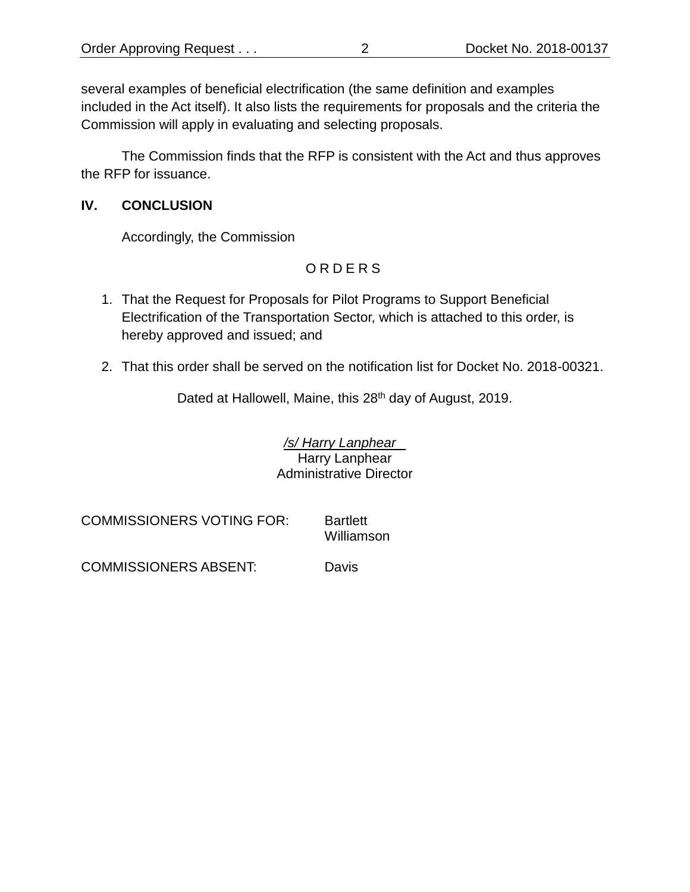several examples of beneficial electrification (the same definition and examples included in the Act itself). It also lists the requirements for proposals and the criteria the Commission will apply in evaluating and selecting proposals.

The Commission finds that the RFP is consistent with the Act and thus approves the RFP for issuance.

#### **IV. CONCLUSION**

Accordingly, the Commission

# O R D E R S

- 1. That the Request for Proposals for Pilot Programs to Support Beneficial Electrification of the Transportation Sector, which is attached to this order, is hereby approved and issued; and
- 2. That this order shall be served on the notification list for Docket No. 2018-00321.

Dated at Hallowell, Maine, this 28<sup>th</sup> day of August, 2019.

*/s/ Harry Lanphear* Harry Lanphear Administrative Director

COMMISSIONERS VOTING FOR: Bartlett

Williamson

COMMISSIONERS ABSENT: Davis